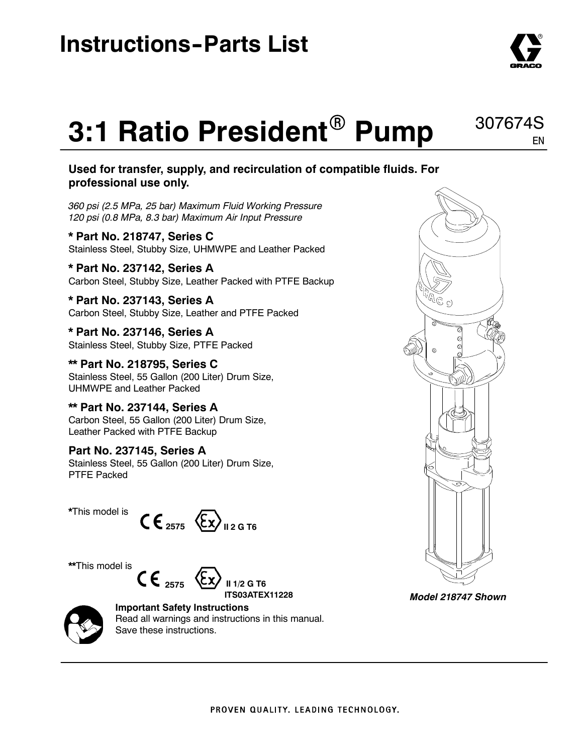

EN

### 307674S **3:1 Ratio President<sup>®</sup> Pump**

#### **Used for transfer, supply, and recirculation of compatible fluids. For professional use only.**

*360 psi (2.5 MPa, 25 bar) Maximum Fluid Working Pressure 120 psi (0.8 MPa, 8.3 bar) Maximum Air Input Pressure*

**\* Part No. 218747, Series C** Stainless Steel, Stubby Size, UHMWPE and Leather Packed

**\* Part No. 237142, Series A** Carbon Steel, Stubby Size, Leather Packed with PTFE Backup

**\* Part No. 237143, Series A** Carbon Steel, Stubby Size, Leather and PTFE Packed

**\* Part No. 237146, Series A** Stainless Steel, Stubby Size, PTFE Packed

**\*\* Part No. 218795, Series C** Stainless Steel, 55 Gallon (200 Liter) Drum Size, UHMWPE and Leather Packed

**\*\* Part No. 237144, Series A** Carbon Steel, 55 Gallon (200 Liter) Drum Size, Leather Packed with PTFE Backup

**Part No. 237145, Series A** Stainless Steel, 55 Gallon (200 Liter) Drum Size, PTFE Packed



**\*\***This model is







**Important Safety Instructions** Read all warnings and instructions in this manual. Save these instructions.



*Model 218747 Shown*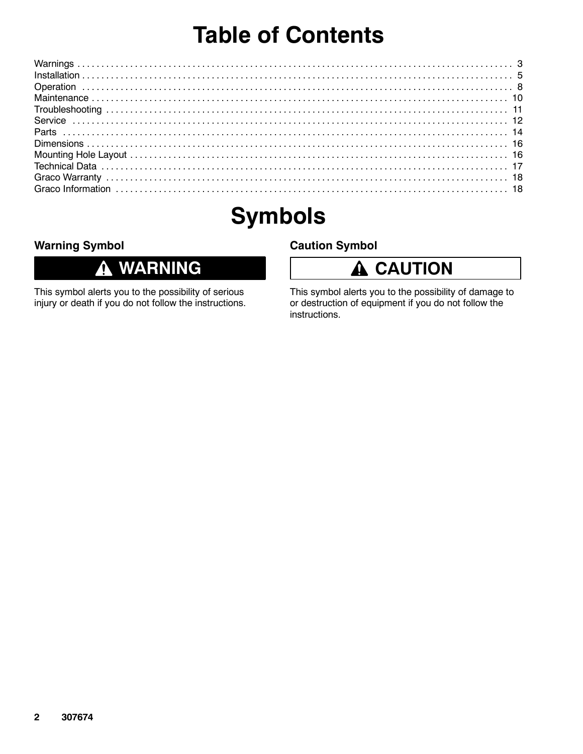## **Table of Contents**

## **Symbols**

### **Warning Symbol**

#### **WARNING** 0

This symbol alerts you to the possibility of serious injury or death if you do not follow the instructions.

#### **Caution Symbol**



This symbol alerts you to the possibility of damage to or destruction of equipment if you do not follow the instructions.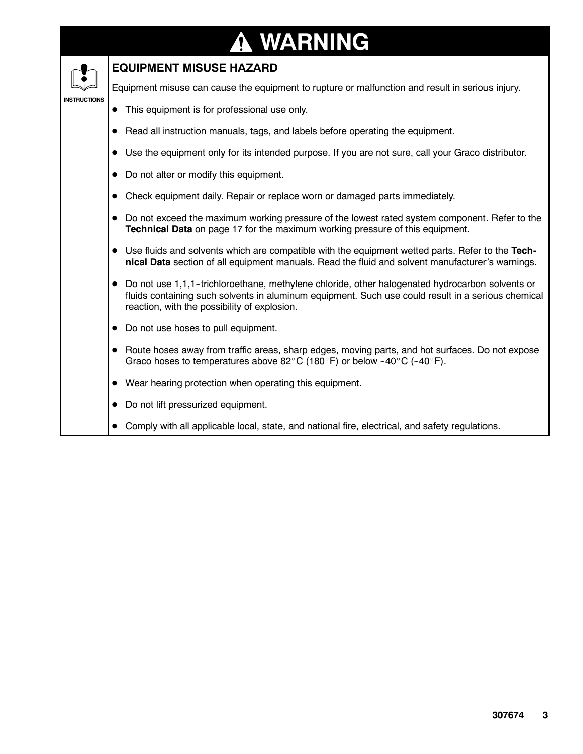### **WARNING ↑**

#### **EQUIPMENT MISUSE HAZARD**

Equipment misuse can cause the equipment to rupture or malfunction and result in serious injury.

#### **INSTRUCTIONS** • This equipment is for professional use only.

- Read all instruction manuals, tags, and labels before operating the equipment.
- Use the equipment only for its intended purpose. If you are not sure, call your Graco distributor.
- Do not alter or modify this equipment.
- Check equipment daily. Repair or replace worn or damaged parts immediately.
- Do not exceed the maximum working pressure of the lowest rated system component. Refer to the **Technical Data** on page 17 for the maximum working pressure of this equipment.
- Use fluids and solvents which are compatible with the equipment wetted parts. Refer to the Tech**nical Data** section of all equipment manuals. Read the fluid and solvent manufacturer's warnings.
- Do not use 1,1,1-trichloroethane, methylene chloride, other halogenated hydrocarbon solvents or fluids containing such solvents in aluminum equipment. Such use could result in a serious chemical reaction, with the possibility of explosion.
- Do not use hoses to pull equipment.
- Route hoses away from traffic areas, sharp edges, moving parts, and hot surfaces. Do not expose Graco hoses to temperatures above 82°C (180°F) or below -40°C (-40°F).
- Wear hearing protection when operating this equipment.
- Do not lift pressurized equipment.
- Comply with all applicable local, state, and national fire, electrical, and safety regulations.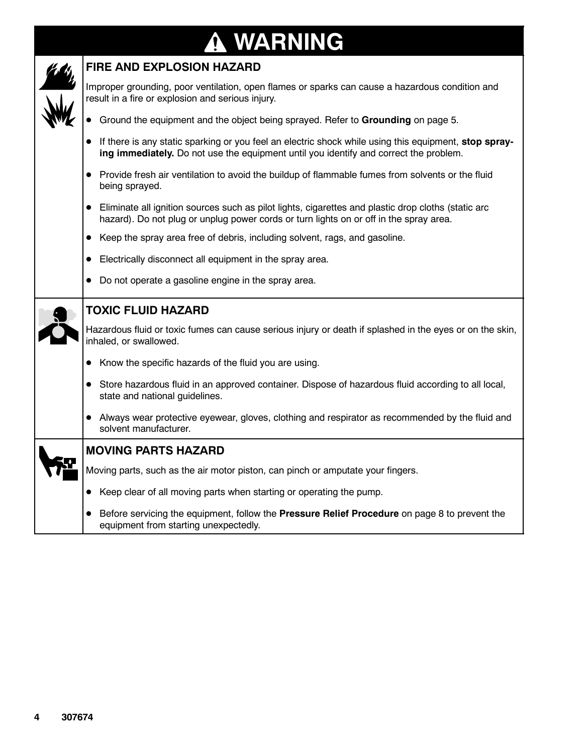# **WARNING**



### **FIRE AND EXPLOSION HAZARD**

Improper grounding, poor ventilation, open flames or sparks can cause a hazardous condition and result in a fire or explosion and serious injury.

- **•** Ground the equipment and the object being sprayed. Refer to **Grounding** on page 5.
- If there is any static sparking or you feel an electric shock while using this equipment, stop spray**ing immediately.** Do not use the equipment until you identify and correct the problem.
- Provide fresh air ventilation to avoid the buildup of flammable fumes from solvents or the fluid being sprayed.
- Eliminate all ignition sources such as pilot lights, cigarettes and plastic drop cloths (static arc hazard). Do not plug or unplug power cords or turn lights on or off in the spray area.
- Keep the spray area free of debris, including solvent, rags, and gasoline.
- $\bullet$  Electrically disconnect all equipment in the spray area.
- Do not operate a gasoline engine in the spray area.



#### **TOXIC FLUID HAZARD**

Hazardous fluid or toxic fumes can cause serious injury or death if splashed in the eyes or on the skin, inhaled, or swallowed.

- $\bullet$  Know the specific hazards of the fluid you are using.
- D Store hazardous fluid in an approved container. Dispose of hazardous fluid according to all local, state and national guidelines.
- Always wear protective eyewear, gloves, clothing and respirator as recommended by the fluid and solvent manufacturer.

### **MOVING PARTS HAZARD**

Moving parts, such as the air motor piston, can pinch or amputate your fingers.

- Keep clear of all moving parts when starting or operating the pump.
- **•** Before servicing the equipment, follow the **Pressure Relief Procedure** on page 8 to prevent the equipment from starting unexpectedly.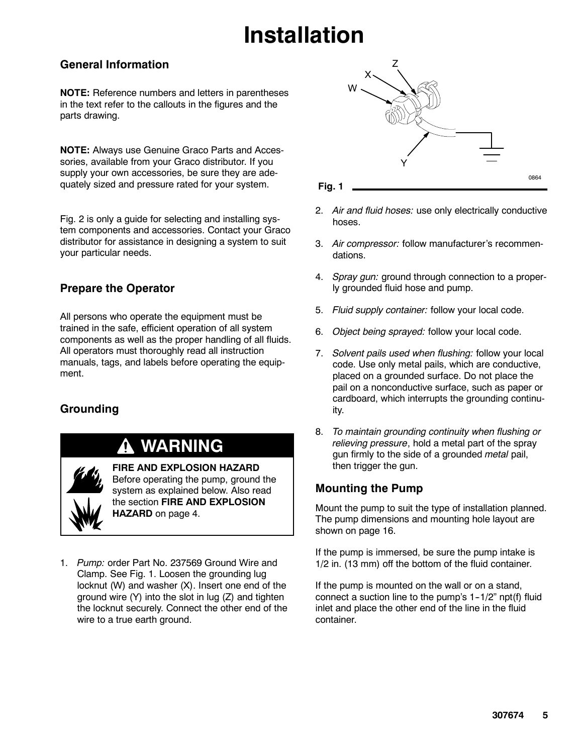# **Installation**

### **General Information**

**NOTE:** Reference numbers and letters in parentheses in the text refer to the callouts in the figures and the parts drawing.

**NOTE:** Always use Genuine Graco Parts and Accessories, available from your Graco distributor. If you supply your own accessories, be sure they are adequately sized and pressure rated for your system.

Fig. 2 is only a guide for selecting and installing system components and accessories. Contact your Graco distributor for assistance in designing a system to suit your particular needs.

### **Prepare the Operator**

All persons who operate the equipment must be trained in the safe, efficient operation of all system components as well as the proper handling of all fluids. All operators must thoroughly read all instruction manuals, tags, and labels before operating the equipment.

### **Grounding**

### **WARNING**

**FIRE AND EXPLOSION HAZARD** Before operating the pump, ground the system as explained below. Also read the section **FIRE AND EXPLOSION HAZARD** on page 4.

1. *Pump:* order Part No. 237569 Ground Wire and Clamp. See Fig. 1. Loosen the grounding lug locknut (W) and washer (X). Insert one end of the ground wire (Y) into the slot in lug (Z) and tighten the locknut securely. Connect the other end of the wire to a true earth ground.



**Fig. 1**

- 2. *Air and fluid hoses:* use only electrically conductive hoses.
- 3. *Air compressor:* follow manufacturer's recommendations.
- 4. *Spray gun:* ground through connection to a properly grounded fluid hose and pump.
- 5. *Fluid supply container:* follow your local code.
- 6. *Object being sprayed:* follow your local code.
- 7. *Solvent pails used when flushing:* follow your local code. Use only metal pails, which are conductive, placed on a grounded surface. Do not place the pail on a nonconductive surface, such as paper or cardboard, which interrupts the grounding continuity.
- 8. *To maintain grounding continuity when flushing or relieving pressure*, hold a metal part of the spray gun firmly to the side of a grounded *metal* pail, then trigger the gun.

#### **Mounting the Pump**

Mount the pump to suit the type of installation planned. The pump dimensions and mounting hole layout are shown on page 16.

If the pump is immersed, be sure the pump intake is 1/2 in. (13 mm) off the bottom of the fluid container.

If the pump is mounted on the wall or on a stand, connect a suction line to the pump's  $1-1/2$ " npt(f) fluid inlet and place the other end of the line in the fluid container.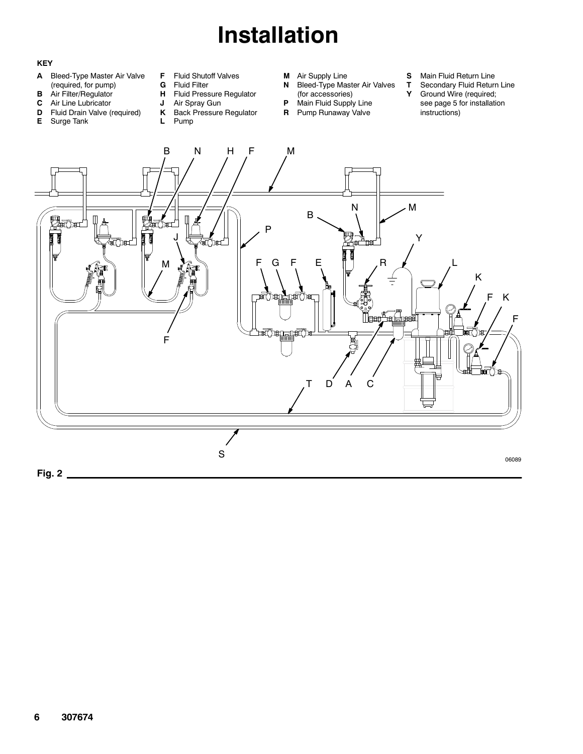# **Installation**

#### **KEY**

- **A** Bleed-Type Master Air Valve (required, for pump)
- **B** Air Filter/Regulator
- **C** Air Line Lubricator
- **D** Fluid Drain Valve (required)
- **E** Surge Tank
- **F** Fluid Shutoff Valves<br>**G** Fluid Filter
- **G** Fluid Filter<br>**H** Fluid Press
- **Fluid Pressure Regulator J** Air Spray Gun
- 
- **K** Back Pressure Regulator **L** Pump
- **M** Air Supply Line
- **N** Bleed-Type Master Air Valves
- (for accessories)
- **P** Main Fluid Supply Line **R** Pump Runaway Valve
	- -
- **S** Main Fluid Return Line<br>**T** Secondary Fluid Return
- **T** Secondary Fluid Return Line<br>**Y** Ground Wire (required;
- Ground Wire (required; see page 5 for installation instructions)

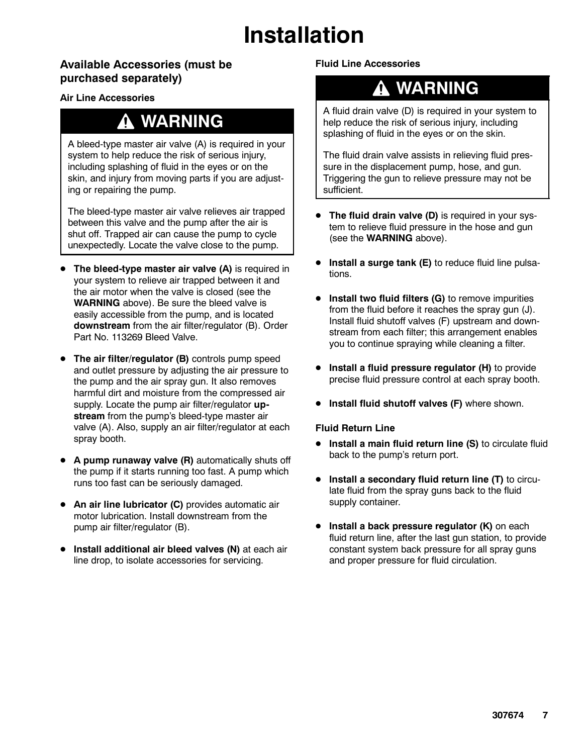# **Installation**

### **Available Accessories (must be purchased separately)**

#### **Air Line Accessories**

### **WARNING**

A bleed-type master air valve (A) is required in your system to help reduce the risk of serious injury, including splashing of fluid in the eyes or on the skin, and injury from moving parts if you are adjusting or repairing the pump.

The bleed-type master air valve relieves air trapped between this valve and the pump after the air is shut off. Trapped air can cause the pump to cycle unexpectedly. Locate the valve close to the pump.

- **The bleed-type master air valve (A)** is required in your system to relieve air trapped between it and the air motor when the valve is closed (see the **WARNING** above). Be sure the bleed valve is easily accessible from the pump, and is located **downstream** from the air filter/regulator (B). Order Part No. 113269 Bleed Valve.
- **The air filter/regulator (B)** controls pump speed and outlet pressure by adjusting the air pressure to the pump and the air spray gun. It also removes harmful dirt and moisture from the compressed air supply. Locate the pump air filter/regulator **upstream** from the pump's bleed-type master air valve (A). Also, supply an air filter/regulator at each spray booth.
- A pump runaway valve (R) automatically shuts off the pump if it starts running too fast. A pump which runs too fast can be seriously damaged.
- **An air line lubricator (C)** provides automatic air motor lubrication. Install downstream from the pump air filter/regulator (B).
- **•** Install additional air bleed valves (N) at each air line drop, to isolate accessories for servicing.

**Fluid Line Accessories**

### **WARNING**

A fluid drain valve (D) is required in your system to help reduce the risk of serious injury, including splashing of fluid in the eyes or on the skin.

The fluid drain valve assists in relieving fluid pressure in the displacement pump, hose, and gun. Triggering the gun to relieve pressure may not be sufficient.

- The fluid drain valve (D) is required in your system to relieve fluid pressure in the hose and gun (see the **WARNING** above).
- **Install a surge tank (E)** to reduce fluid line pulsations.
- **Install two fluid filters (G)** to remove impurities from the fluid before it reaches the spray gun (J). Install fluid shutoff valves (F) upstream and downstream from each filter; this arrangement enables you to continue spraying while cleaning a filter.
- **Install a fluid pressure regulator (H)** to provide precise fluid pressure control at each spray booth.
- **Install fluid shutoff valves (F)** where shown.

#### **Fluid Return Line**

- **•** Install a main fluid return line (S) to circulate fluid back to the pump's return port.
- **Install a secondary fluid return line (T)** to circulate fluid from the spray guns back to the fluid supply container.
- **•** Install a back pressure regulator (K) on each fluid return line, after the last gun station, to provide constant system back pressure for all spray guns and proper pressure for fluid circulation.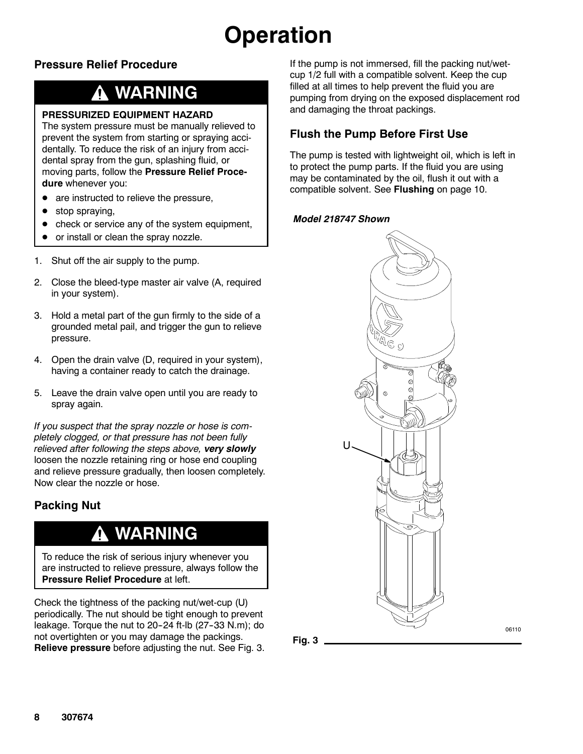# **Operation**

### **Pressure Relief Procedure**

## **WARNING**

#### **PRESSURIZED EQUIPMENT HAZARD**

The system pressure must be manually relieved to prevent the system from starting or spraying accidentally. To reduce the risk of an injury from accidental spray from the gun, splashing fluid, or moving parts, follow the **Pressure Relief Procedure** whenever you:

- $\bullet$  are instructed to relieve the pressure,
- $\bullet$  stop spraying,
- check or service any of the system equipment,
- or install or clean the spray nozzle.
- 1. Shut off the air supply to the pump.
- 2. Close the bleed-type master air valve (A, required in your system).
- 3. Hold a metal part of the gun firmly to the side of a grounded metal pail, and trigger the gun to relieve pressure.
- 4. Open the drain valve (D, required in your system), having a container ready to catch the drainage.
- 5. Leave the drain valve open until you are ready to spray again.

*If you suspect that the spray nozzle or hose is completely clogged, or that pressure has not been fully relieved after following the steps above, very slowly* loosen the nozzle retaining ring or hose end coupling and relieve pressure gradually, then loosen completely. Now clear the nozzle or hose.

### **Packing Nut**

### **WARNING**

To reduce the risk of serious injury whenever you are instructed to relieve pressure, always follow the **Pressure Relief Procedure** at left.

Check the tightness of the packing nut/wet-cup (U) periodically. The nut should be tight enough to prevent leakage. Torque the nut to 20-24 ft-lb  $(27-33 \text{ N.m})$ ; do not overtighten or you may damage the packings. **Relieve pressure** before adjusting the nut. See Fig. 3. If the pump is not immersed, fill the packing nut/wetcup 1/2 full with a compatible solvent. Keep the cup filled at all times to help prevent the fluid you are pumping from drying on the exposed displacement rod and damaging the throat packings.

### **Flush the Pump Before First Use**

The pump is tested with lightweight oil, which is left in to protect the pump parts. If the fluid you are using may be contaminated by the oil, flush it out with a compatible solvent. See **Flushing** on page 10.

#### *Model 218747 Shown*

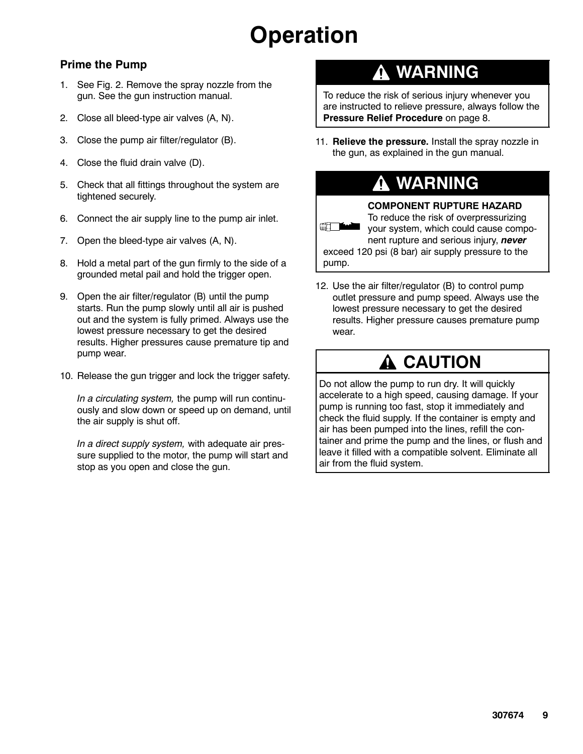## **Operation**

### **Prime the Pump**

- 1. See Fig. 2. Remove the spray nozzle from the gun. See the gun instruction manual.
- 2. Close all bleed-type air valves (A, N).
- 3. Close the pump air filter/regulator (B).
- 4. Close the fluid drain valve (D).
- 5. Check that all fittings throughout the system are tightened securely.
- 6. Connect the air supply line to the pump air inlet.
- 7. Open the bleed-type air valves (A, N).
- 8. Hold a metal part of the gun firmly to the side of a grounded metal pail and hold the trigger open.
- 9. Open the air filter/regulator (B) until the pump starts. Run the pump slowly until all air is pushed out and the system is fully primed. Always use the lowest pressure necessary to get the desired results. Higher pressures cause premature tip and pump wear.
- 10. Release the gun trigger and lock the trigger safety.

*In a circulating system,* the pump will run continuously and slow down or speed up on demand, until the air supply is shut off.

*In a direct supply system,* with adequate air pressure supplied to the motor, the pump will start and stop as you open and close the gun.

### **WARNING**

To reduce the risk of serious injury whenever you are instructed to relieve pressure, always follow the **Pressure Relief Procedure** on page 8.

11. **Relieve the pressure.** Install the spray nozzle in the gun, as explained in the gun manual.

## **WARNING**



12. Use the air filter/regulator (B) to control pump outlet pressure and pump speed. Always use the lowest pressure necessary to get the desired results. Higher pressure causes premature pump wear.

### **A CAUTION**

Do not allow the pump to run dry. It will quickly accelerate to a high speed, causing damage. If your pump is running too fast, stop it immediately and check the fluid supply. If the container is empty and air has been pumped into the lines, refill the container and prime the pump and the lines, or flush and leave it filled with a compatible solvent. Eliminate all air from the fluid system.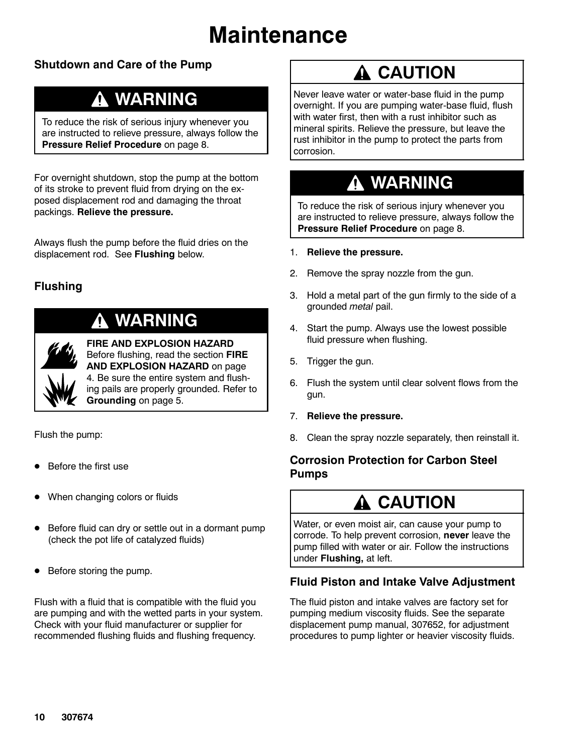## **Maintenance**

### **Shutdown and Care of the Pump**

### **WARNING**

To reduce the risk of serious injury whenever you are instructed to relieve pressure, always follow the **Pressure Relief Procedure** on page 8.

For overnight shutdown, stop the pump at the bottom of its stroke to prevent fluid from drying on the exposed displacement rod and damaging the throat packings. **Relieve the pressure.**

Always flush the pump before the fluid dries on the displacement rod. See **Flushing** below.

### **Flushing**

## **WARNING**

**FIRE AND EXPLOSION HAZARD** Before flushing, read the section **FIRE AND EXPLOSION HAZARD** on page 4. Be sure the entire system and flushing pails are properly grounded. Refer to **Grounding** on page 5.

Flush the pump:

- Before the first use
- When changing colors or fluids
- Before fluid can dry or settle out in a dormant pump (check the pot life of catalyzed fluids)
- Before storing the pump.

Flush with a fluid that is compatible with the fluid you are pumping and with the wetted parts in your system. Check with your fluid manufacturer or supplier for recommended flushing fluids and flushing frequency.

## **A CAUTION**

Never leave water or water-base fluid in the pump overnight. If you are pumping water-base fluid, flush with water first, then with a rust inhibitor such as mineral spirits. Relieve the pressure, but leave the rust inhibitor in the pump to protect the parts from corrosion.

## **WARNING**

To reduce the risk of serious injury whenever you are instructed to relieve pressure, always follow the **Pressure Relief Procedure** on page 8.

- 1. **Relieve the pressure.**
- 2. Remove the spray nozzle from the gun.
- 3. Hold a metal part of the gun firmly to the side of a grounded *metal* pail.
- 4. Start the pump. Always use the lowest possible fluid pressure when flushing.
- 5. Trigger the gun.
- 6. Flush the system until clear solvent flows from the gun.
- 7. **Relieve the pressure.**
- 8. Clean the spray nozzle separately, then reinstall it.

### **Corrosion Protection for Carbon Steel Pumps**

## **CAUTION**

Water, or even moist air, can cause your pump to corrode. To help prevent corrosion, **never** leave the pump filled with water or air. Follow the instructions under **Flushing,** at left.

#### **Fluid Piston and Intake Valve Adjustment**

The fluid piston and intake valves are factory set for pumping medium viscosity fluids. See the separate displacement pump manual, 307652, for adjustment procedures to pump lighter or heavier viscosity fluids.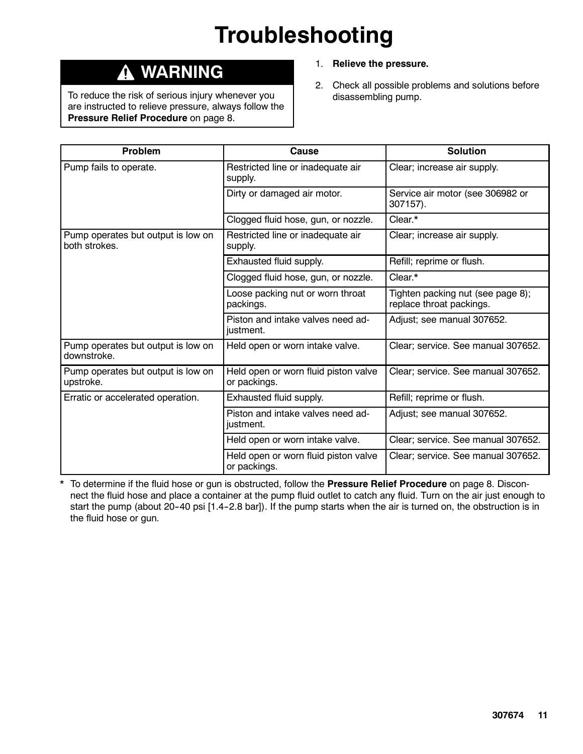# **Troubleshooting**

### **WARNING**

To reduce the risk of serious injury whenever you are instructed to relieve pressure, always follow the **Pressure Relief Procedure** on page 8.

- 1. **Relieve the pressure.**
- 2. Check all possible problems and solutions before disassembling pump.

| <b>Problem</b>                                      | <b>Cause</b>                                         | <b>Solution</b>                                               |  |
|-----------------------------------------------------|------------------------------------------------------|---------------------------------------------------------------|--|
| Pump fails to operate.                              | Restricted line or inadequate air<br>supply.         | Clear; increase air supply.                                   |  |
|                                                     | Dirty or damaged air motor.                          | Service air motor (see 306982 or<br>307157).                  |  |
|                                                     | Clogged fluid hose, gun, or nozzle.                  | Clear.*                                                       |  |
| Pump operates but output is low on<br>both strokes. | Restricted line or inadequate air<br>supply.         | Clear; increase air supply.                                   |  |
|                                                     | Exhausted fluid supply.                              | Refill; reprime or flush.                                     |  |
|                                                     | Clogged fluid hose, gun, or nozzle.                  | Clear.*                                                       |  |
|                                                     | Loose packing nut or worn throat<br>packings.        | Tighten packing nut (see page 8);<br>replace throat packings. |  |
|                                                     | Piston and intake valves need ad-<br>justment.       | Adjust; see manual 307652.                                    |  |
| Pump operates but output is low on<br>downstroke.   | Held open or worn intake valve.                      | Clear; service. See manual 307652.                            |  |
| Pump operates but output is low on<br>upstroke.     | Held open or worn fluid piston valve<br>or packings. | Clear; service. See manual 307652.                            |  |
| Erratic or accelerated operation.                   | Exhausted fluid supply.                              | Refill; reprime or flush.                                     |  |
|                                                     | Piston and intake valves need ad-<br>justment.       | Adjust; see manual 307652.                                    |  |
|                                                     | Held open or worn intake valve.                      | Clear; service. See manual 307652.                            |  |
|                                                     | Held open or worn fluid piston valve<br>or packings. | Clear; service. See manual 307652.                            |  |

\* To determine if the fluid hose or gun is obstructed, follow the **Pressure Relief Procedure** on page 8. Disconnect the fluid hose and place a container at the pump fluid outlet to catch any fluid. Turn on the air just enough to start the pump (about 20-40 psi [1.4-2.8 bar]). If the pump starts when the air is turned on, the obstruction is in the fluid hose or gun.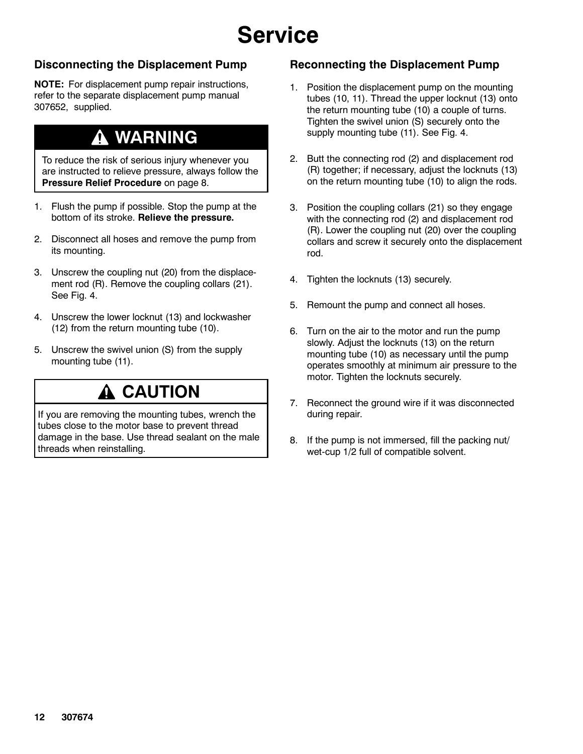## **Service**

### **Disconnecting the Displacement Pump**

**NOTE:** For displacement pump repair instructions, refer to the separate displacement pump manual 307652, supplied.

### **WARNING**

To reduce the risk of serious injury whenever you are instructed to relieve pressure, always follow the **Pressure Relief Procedure** on page 8.

- 1. Flush the pump if possible. Stop the pump at the bottom of its stroke. **Relieve the pressure.**
- 2. Disconnect all hoses and remove the pump from its mounting.
- 3. Unscrew the coupling nut (20) from the displacement rod (R). Remove the coupling collars (21). See Fig. 4.
- 4. Unscrew the lower locknut (13) and lockwasher (12) from the return mounting tube (10).
- 5. Unscrew the swivel union (S) from the supply mounting tube (11).

## **A CAUTION**

If you are removing the mounting tubes, wrench the tubes close to the motor base to prevent thread damage in the base. Use thread sealant on the male threads when reinstalling.

### **Reconnecting the Displacement Pump**

- 1. Position the displacement pump on the mounting tubes (10, 11). Thread the upper locknut (13) onto the return mounting tube (10) a couple of turns. Tighten the swivel union (S) securely onto the supply mounting tube (11). See Fig. 4.
- 2. Butt the connecting rod (2) and displacement rod (R) together; if necessary, adjust the locknuts (13) on the return mounting tube (10) to align the rods.
- 3. Position the coupling collars (21) so they engage with the connecting rod (2) and displacement rod (R). Lower the coupling nut (20) over the coupling collars and screw it securely onto the displacement rod.
- 4. Tighten the locknuts (13) securely.
- 5. Remount the pump and connect all hoses.
- 6. Turn on the air to the motor and run the pump slowly. Adjust the locknuts (13) on the return mounting tube (10) as necessary until the pump operates smoothly at minimum air pressure to the motor. Tighten the locknuts securely.
- 7. Reconnect the ground wire if it was disconnected during repair.
- 8. If the pump is not immersed, fill the packing nut/ wet-cup 1/2 full of compatible solvent.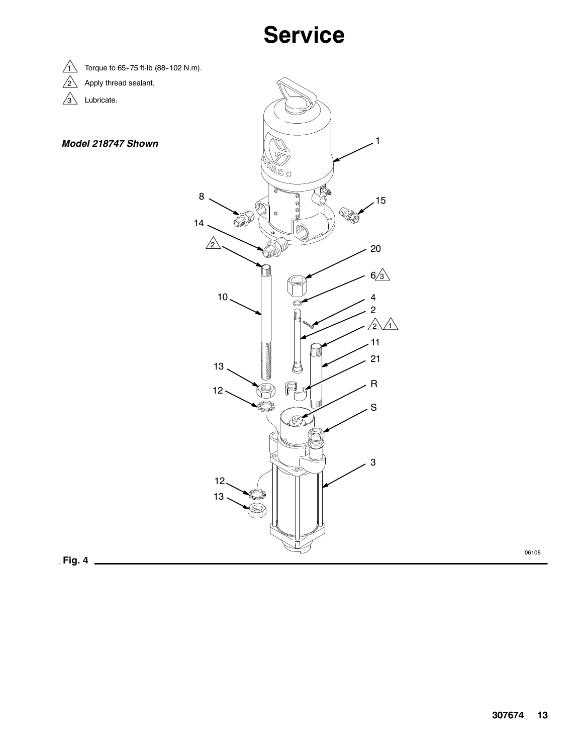## **Service**



 $\sqrt{2}$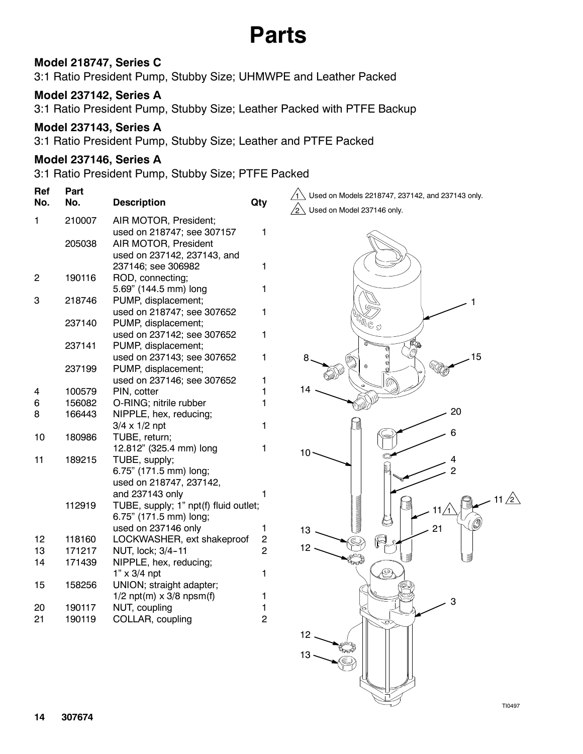## **Parts**

### **Model 218747, Series C**

3:1 Ratio President Pump, Stubby Size; UHMWPE and Leather Packed

### **Model 237142, Series A**

3:1 Ratio President Pump, Stubby Size; Leather Packed with PTFE Backup

#### **Model 237143, Series A**

3:1 Ratio President Pump, Stubby Size; Leather and PTFE Packed

#### **Model 237146, Series A**

3:1 Ratio President Pump, Stubby Size; PTFE Packed

| Ref<br>No.     | Part<br>No. | <b>Description</b>                    | Qty                                       | Used on Models 2218747, 237142, and 237143 only. |
|----------------|-------------|---------------------------------------|-------------------------------------------|--------------------------------------------------|
|                |             |                                       |                                           | Used on Model 237146 only.                       |
| 1              | 210007      | AIR MOTOR, President;                 |                                           |                                                  |
|                |             | used on 218747; see 307157            | 1                                         |                                                  |
|                | 205038      | AIR MOTOR, President                  |                                           |                                                  |
|                |             | used on 237142, 237143, and           |                                           |                                                  |
|                |             | 237146; see 306982                    | 1                                         |                                                  |
| $\overline{c}$ | 190116      | ROD, connecting;                      |                                           |                                                  |
|                |             | 5.69" (144.5 mm) long                 | 1                                         |                                                  |
| 3              | 218746      | PUMP, displacement;                   |                                           |                                                  |
|                |             | used on 218747; see 307652            | 1                                         |                                                  |
|                | 237140      | PUMP, displacement;                   |                                           | $\otimes \mathbb{P}^k$                           |
|                |             | used on 237142; see 307652            | 1                                         |                                                  |
|                | 237141      | PUMP, displacement;                   |                                           |                                                  |
|                |             | used on 237143; see 307652            | 1                                         | 15<br>8                                          |
|                | 237199      | PUMP, displacement;                   |                                           |                                                  |
|                |             | used on 237146; see 307652            | 1                                         |                                                  |
| 4              | 100579      | PIN, cotter                           |                                           | 14                                               |
| 6              | 156082      | O-RING; nitrile rubber                |                                           |                                                  |
| 8              | 166443      | NIPPLE, hex, reducing;                |                                           | 20                                               |
|                |             | $3/4 \times 1/2$ npt                  | 1                                         |                                                  |
| 10             | 180986      | TUBE, return;                         |                                           |                                                  |
|                |             | 12.812" (325.4 mm) long               | 1                                         | 10                                               |
| 11             | 189215      | TUBE, supply;                         |                                           |                                                  |
|                |             | 6.75" (171.5 mm) long;                |                                           |                                                  |
|                |             | used on 218747, 237142,               |                                           |                                                  |
|                |             | and 237143 only                       |                                           |                                                  |
|                | 112919      | TUBE, supply; 1" npt(f) fluid outlet; |                                           |                                                  |
|                |             | 6.75" (171.5 mm) long;                |                                           |                                                  |
|                |             | used on 237146 only                   | 1                                         | 21<br>13                                         |
| 12             | 118160      | LOCKWASHER, ext shakeproof            | $\overline{\mathbf{c}}$<br>$\overline{2}$ | 12                                               |
| 13             | 171217      | NUT, lock; 3/4-11                     |                                           |                                                  |
| 14             | 171439      | NIPPLE, hex, reducing;                |                                           |                                                  |
|                |             | $1" \times 3/4$ npt                   | 1                                         |                                                  |
| 15             | 158256      | UNION; straight adapter;              |                                           |                                                  |
|                |             | $1/2$ npt(m) x 3/8 npsm(f)            |                                           | 3                                                |
| 20             | 190117      | NUT, coupling                         |                                           |                                                  |
| 21             | 190119      | COLLAR, coupling                      | $\overline{2}$                            |                                                  |
|                |             |                                       |                                           |                                                  |

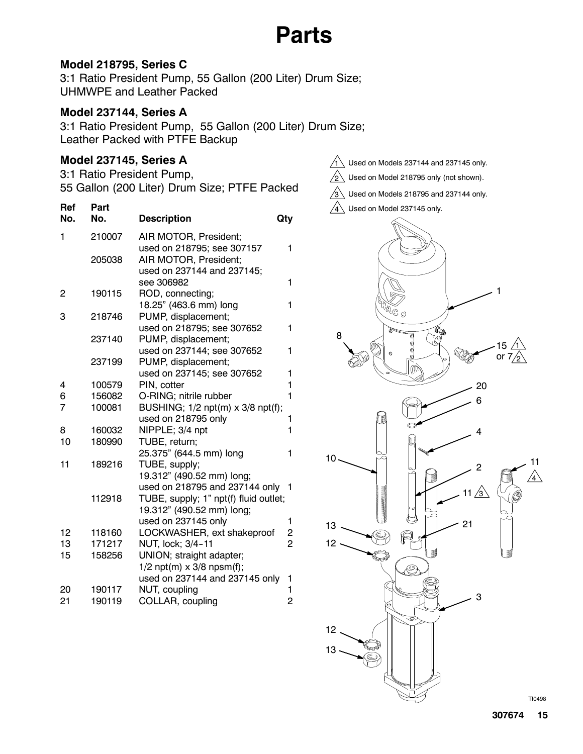## **Parts**

#### **Model 218795, Series C**

3:1 Ratio President Pump, 55 Gallon (200 Liter) Drum Size; UHMWPE and Leather Packed

#### **Model 237144, Series A**

3:1 Ratio President Pump, 55 Gallon (200 Liter) Drum Size; Leather Packed with PTFE Backup

### **Model 237145, Series A**

3:1 Ratio President Pump, 55 Gallon (200 Liter) Drum Size; PTFE Packed

| <b>Ref</b><br>No. | Part<br>No. | <b>Description</b>                    | Qty            |
|-------------------|-------------|---------------------------------------|----------------|
| 1                 | 210007      | AIR MOTOR, President;                 |                |
|                   |             | used on 218795; see 307157            | 1              |
|                   | 205038      | AIR MOTOR, President;                 |                |
|                   |             | used on 237144 and 237145;            |                |
|                   |             | see 306982                            | 1              |
| 2                 | 190115      | ROD, connecting;                      |                |
|                   |             | 18.25" (463.6 mm) long                | 1              |
| 3                 | 218746      | PUMP, displacement;                   |                |
|                   |             | used on 218795; see 307652            | 1              |
|                   | 237140      | PUMP, displacement;                   |                |
|                   |             | used on 237144; see 307652            | 1              |
|                   | 237199      | PUMP, displacement;                   |                |
|                   |             | used on 237145; see 307652            | 1              |
| 4                 | 100579      | PIN, cotter                           | 1              |
| 6                 | 156082      | O-RING; nitrile rubber                | 1              |
| 7                 | 100081      | BUSHING; 1/2 npt(m) x 3/8 npt(f);     |                |
|                   |             | used on 218795 only                   | 1              |
| 8                 | 160032      | NIPPLE; 3/4 npt                       | 1              |
| 10                | 180990      | TUBE, return;                         |                |
|                   |             | 25.375" (644.5 mm) long               | 1              |
| 11                | 189216      | TUBE, supply;                         |                |
|                   |             | 19.312" (490.52 mm) long;             |                |
|                   |             | used on 218795 and 237144 only        | 1              |
|                   | 112918      | TUBE, supply; 1" npt(f) fluid outlet; |                |
|                   |             | 19.312" (490.52 mm) long;             |                |
|                   |             | used on 237145 only                   | 1              |
| 12                | 118160      | LOCKWASHER, ext shakeproof            | $\overline{c}$ |
| 13                | 171217      | NUT, lock; 3/4-11                     | $\overline{2}$ |
| 15                | 158256      | UNION; straight adapter;              |                |
|                   |             | $1/2$ npt(m) $\times$ 3/8 npsm(f);    |                |
|                   |             | used on 237144 and 237145 only        | 1              |
| 20                | 190117      | NUT, coupling                         | 1              |
| 21                | 190119      | COLLAR, coupling                      | $\overline{2}$ |
|                   |             |                                       |                |



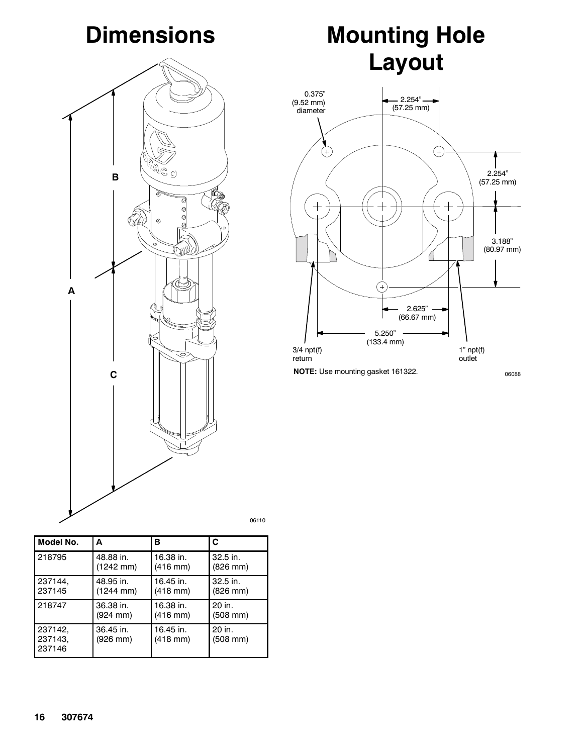## **Dimensions**



| Model No.                    | А                     | в                          | C                       |
|------------------------------|-----------------------|----------------------------|-------------------------|
| 218795                       | 48.88 in.             | 16.38 in.                  | $32.5$ in.              |
|                              | (1242 mm)             | $(416$ mm)                 | (826 mm)                |
| 237144,                      | 48.95 in.             | 16.45 in.                  | $32.5$ in.              |
| 237145                       | $(1244 \text{ mm})$   | $(418$ mm $)$              | (826 mm)                |
| 218747                       | 36.38 in.             | 16.38 in.                  | $20$ in.                |
|                              | (924 mm)              | $(416 \, \text{mm})$       | (508 mm)                |
| 237142,<br>237143,<br>237146 | 36.45 in.<br>(926 mm) | 16.45 in.<br>$(418$ mm $)$ | 20 in.<br>$(508$ mm $)$ |

06110

# **Mounting Hole Layout**



**NOTE:** Use mounting gasket 161322.

06088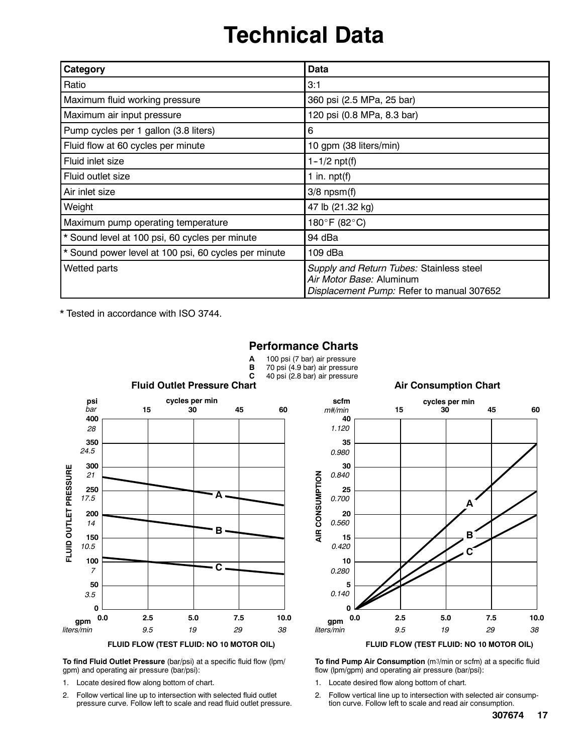## **Technical Data**

| Category                                             | Data                                                                                                              |
|------------------------------------------------------|-------------------------------------------------------------------------------------------------------------------|
| Ratio                                                | 3:1                                                                                                               |
| Maximum fluid working pressure                       | 360 psi (2.5 MPa, 25 bar)                                                                                         |
| Maximum air input pressure                           | 120 psi (0.8 MPa, 8.3 bar)                                                                                        |
| Pump cycles per 1 gallon (3.8 liters)                | 6                                                                                                                 |
| Fluid flow at 60 cycles per minute                   | 10 gpm (38 liters/min)                                                                                            |
| Fluid inlet size                                     | $1 - 1/2$ npt(f)                                                                                                  |
| Fluid outlet size                                    | 1 in. $npt(f)$                                                                                                    |
| Air inlet size                                       | $3/8$ npsm $(f)$                                                                                                  |
| Weight                                               | 47 lb (21.32 kg)                                                                                                  |
| Maximum pump operating temperature                   | 180°F (82°C)                                                                                                      |
| * Sound level at 100 psi, 60 cycles per minute       | 94 dBa                                                                                                            |
| * Sound power level at 100 psi, 60 cycles per minute | 109 dBa                                                                                                           |
| Wetted parts                                         | Supply and Return Tubes: Stainless steel<br>Air Motor Base: Aluminum<br>Displacement Pump: Refer to manual 307652 |

**A** 100 psi (7 bar) air pressure<br>**B** 70 psi (4.9 bar) air pressure

**Performance Charts**

\* Tested in accordance with ISO 3744.



## **B** 70 psi (4.9 bar) air pressure<br>**C** 40 psi (2.8 bar) air pressure



**To find Fluid Outlet Pressure** (bar/psi) at a specific fluid flow (lpm/ gpm) and operating air pressure (bar/psi):

- 1. Locate desired flow along bottom of chart.
- 2. Follow vertical line up to intersection with selected fluid outlet pressure curve. Follow left to scale and read fluid outlet pressure.



**To find Pump Air Consumption** (m3/min or scfm) at a specific fluid flow (lpm/gpm) and operating air pressure (bar/psi):

- 1. Locate desired flow along bottom of chart.
- 2. Follow vertical line up to intersection with selected air consumption curve. Follow left to scale and read air consumption.